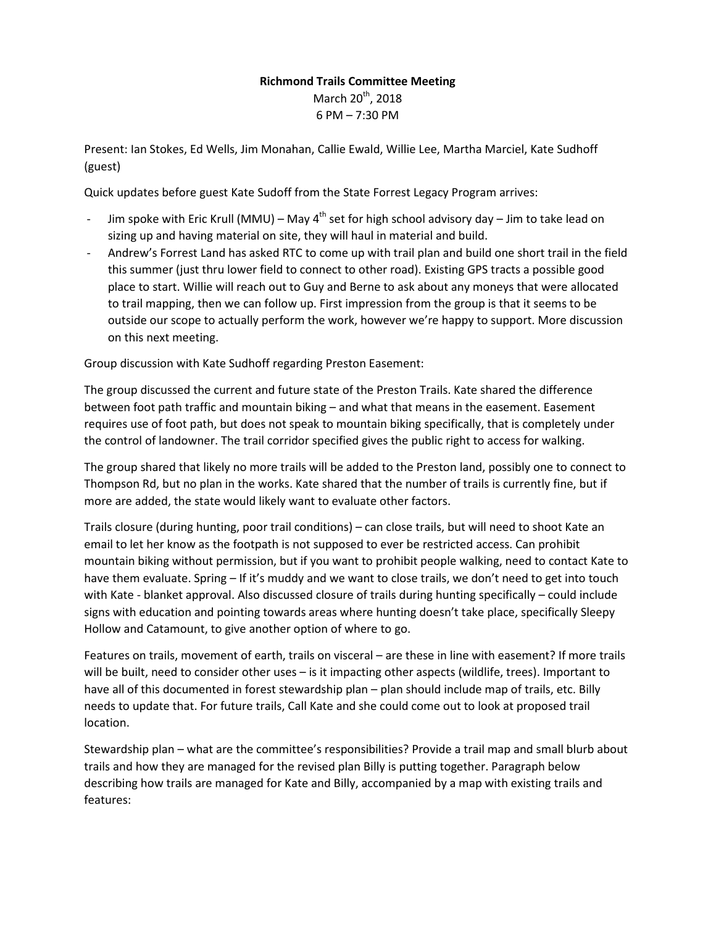## **Richmond Trails Committee Meeting**  March 20<sup>th</sup>, 2018 6 PM – 7:30 PM

Present: Ian Stokes, Ed Wells, Jim Monahan, Callie Ewald, Willie Lee, Martha Marciel, Kate Sudhoff (guest)

Quick updates before guest Kate Sudoff from the State Forrest Legacy Program arrives:

- Jim spoke with Eric Krull (MMU) May  $4^{th}$  set for high school advisory day Jim to take lead on sizing up and having material on site, they will haul in material and build.
- Andrew's Forrest Land has asked RTC to come up with trail plan and build one short trail in the field this summer (just thru lower field to connect to other road). Existing GPS tracts a possible good place to start. Willie will reach out to Guy and Berne to ask about any moneys that were allocated to trail mapping, then we can follow up. First impression from the group is that it seems to be outside our scope to actually perform the work, however we're happy to support. More discussion on this next meeting.

Group discussion with Kate Sudhoff regarding Preston Easement:

The group discussed the current and future state of the Preston Trails. Kate shared the difference between foot path traffic and mountain biking – and what that means in the easement. Easement requires use of foot path, but does not speak to mountain biking specifically, that is completely under the control of landowner. The trail corridor specified gives the public right to access for walking.

The group shared that likely no more trails will be added to the Preston land, possibly one to connect to Thompson Rd, but no plan in the works. Kate shared that the number of trails is currently fine, but if more are added, the state would likely want to evaluate other factors.

Trails closure (during hunting, poor trail conditions) – can close trails, but will need to shoot Kate an email to let her know as the footpath is not supposed to ever be restricted access. Can prohibit mountain biking without permission, but if you want to prohibit people walking, need to contact Kate to have them evaluate. Spring – If it's muddy and we want to close trails, we don't need to get into touch with Kate - blanket approval. Also discussed closure of trails during hunting specifically – could include signs with education and pointing towards areas where hunting doesn't take place, specifically Sleepy Hollow and Catamount, to give another option of where to go.

Features on trails, movement of earth, trails on visceral – are these in line with easement? If more trails will be built, need to consider other uses – is it impacting other aspects (wildlife, trees). Important to have all of this documented in forest stewardship plan – plan should include map of trails, etc. Billy needs to update that. For future trails, Call Kate and she could come out to look at proposed trail location.

Stewardship plan – what are the committee's responsibilities? Provide a trail map and small blurb about trails and how they are managed for the revised plan Billy is putting together. Paragraph below describing how trails are managed for Kate and Billy, accompanied by a map with existing trails and features: